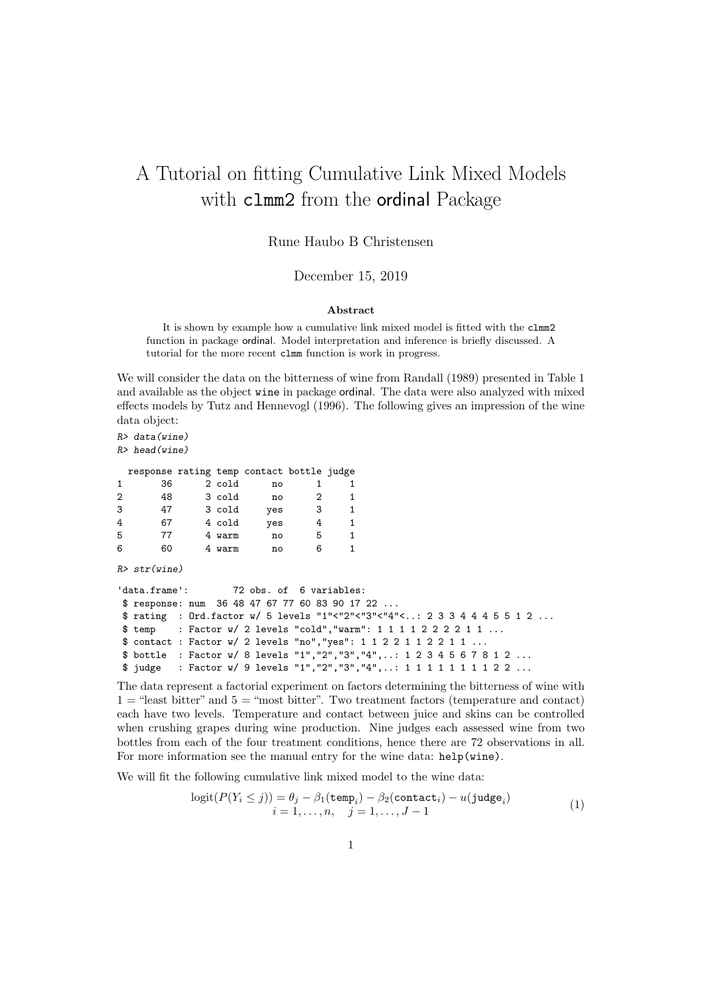## A Tutorial on fitting Cumulative Link Mixed Models with clmm2 from the ordinal Package

## Rune Haubo B Christensen

December 15, 2019

## Abstract

It is shown by example how a cumulative link mixed model is fitted with the clmm2 function in package ordinal. Model interpretation and inference is briefly discussed. A tutorial for the more recent clmm function is work in progress.

We will consider the data on the bitterness of wine from Randall (1989) presented in Table 1 and available as the object wine in package ordinal. The data were also analyzed with mixed effects models by Tutz and Hennevogl (1996). The following gives an impression of the wine data object:

*R> data(wine) R> head(wine)*

|                | response rating temp contact bottle judge |        |     |   |    |
|----------------|-------------------------------------------|--------|-----|---|----|
| -1             | 36                                        | 2 cold | no  |   |    |
| $\overline{2}$ | 48                                        | 3 cold | no  | 2 |    |
| 3              | 47                                        | 3 cold | yes | 3 | 1. |
| 4              | 67                                        | 4 cold | yes |   | 1. |
| 5              | 77                                        | 4 warm | no  | 5 | 1. |
| 6              | 60                                        | warm   | no  |   |    |

*R> str(wine)*

```
'data.frame': 72 obs. of 6 variables:
$ response: num 36 48 47 67 77 60 83 90 17 22 ...
$ rating : Ord.factor w/ 5 levels "1"<"2"<"3"<"4"<..: 2 3 3 4 4 4 5 5 1 2 ...
$ temp : Factor w/ 2 levels "cold","warm": 1 1 1 1 2 2 2 2 1 1 ...
$ contact : Factor w/ 2 levels "no","yes": 1 1 2 2 1 1 2 2 1 1 ...
$ bottle : Factor w/ 8 levels "1","2","3","4",..: 1 2 3 4 5 6 7 8 1 2 ...
$ judge : Factor w/ 9 levels "1","2","3","4",..: 1 1 1 1 1 1 1 1 2 2 ...
```
The data represent a factorial experiment on factors determining the bitterness of wine with  $1 =$  "least bitter" and  $5 =$  "most bitter". Two treatment factors (temperature and contact) each have two levels. Temperature and contact between juice and skins can be controlled when crushing grapes during wine production. Nine judges each assessed wine from two bottles from each of the four treatment conditions, hence there are 72 observations in all. For more information see the manual entry for the wine data: help(wine).

We will fit the following cumulative link mixed model to the wine data:

$$
logit(P(Y_i \le j)) = \theta_j - \beta_1(\text{temp}_i) - \beta_2(\text{contact}_i) - u(\text{judge}_i)
$$
  

$$
i = 1, ..., n, \quad j = 1, ..., J - 1
$$
 (1)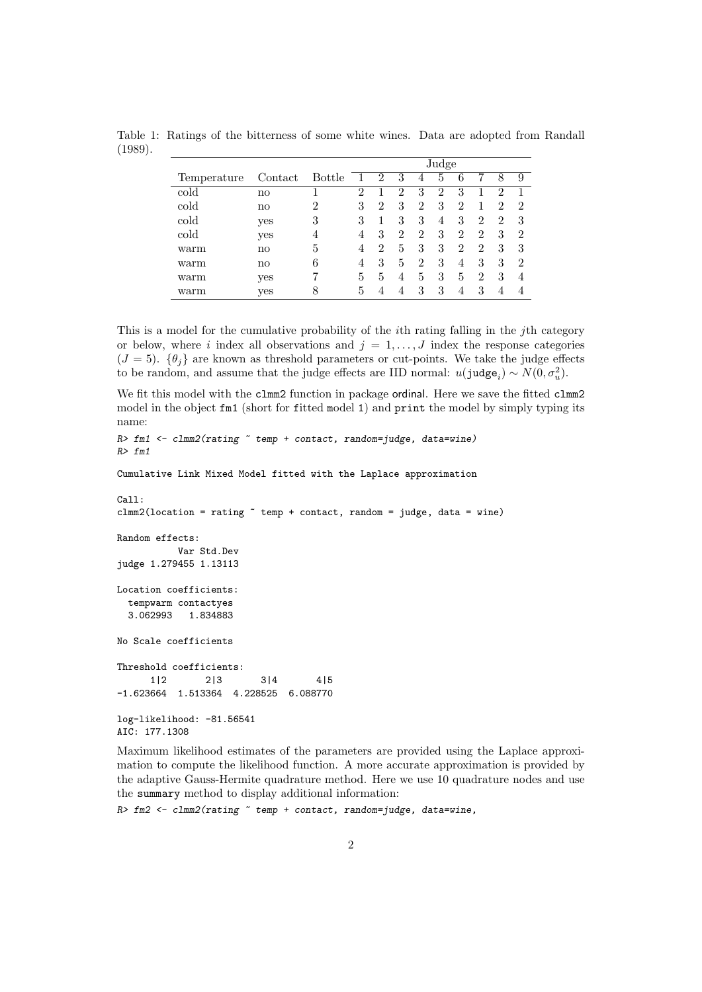|             |               |               | Judge          |   |   |                |   |                |                |                |                |
|-------------|---------------|---------------|----------------|---|---|----------------|---|----------------|----------------|----------------|----------------|
| Temperature | Contact       | <b>Bottle</b> |                | 2 | 3 | 4              | 5 | 6              |                | 8              | 9              |
| cold        | $\mathbf{n}$  |               | $\overline{2}$ |   | 2 | 3              | 2 | 3              |                | $\overline{2}$ |                |
| cold        | $\mathbf{n}$  | 2             | 3              | 2 | 3 | $\overline{2}$ | 3 | $\overline{2}$ |                | 2              | 2              |
| cold        | yes           | 3             | 3              |   | 3 | 3              | 4 | 3              | $\overline{2}$ | 2              | 3              |
| cold        | yes           | 4             | 4              | 3 | 2 | 2              | 3 | $\overline{2}$ | $\overline{2}$ | 3              | $\overline{2}$ |
| warm        | no            | 5             | 4              | 2 | 5 | 3              | 3 | 2              | $\overline{2}$ | 3              | 3              |
| warm        | $\mathbf{no}$ | 6             | 4              | 3 | 5 | $\overline{2}$ | 3 | 4              | 3              | 3              | $\overline{2}$ |
| warm        | yes           |               | 5              | 5 | 4 | 5              | 3 | 5              | $\overline{2}$ | 3              | 4              |
| warm        | yes           | 8             | 5              | 4 | 4 | 3              | 3 | 4              | 3              | 4              |                |

Table 1: Ratings of the bitterness of some white wines. Data are adopted from Randall (1989).

This is a model for the cumulative probability of the ith rating falling in the jth category or below, where i index all observations and  $j = 1, \ldots, J$  index the response categories  $(J = 5)$ .  $\{\theta_i\}$  are known as threshold parameters or cut-points. We take the judge effects to be random, and assume that the judge effects are IID normal:  $u(ju\text{dge}_i) \sim N(0, \sigma_u^2)$ .

We fit this model with the clmm2 function in package ordinal. Here we save the fitted clmm2 model in the object  $fmt$  (short for fitted model 1) and print the model by simply typing its name:

```
R> fm1 <- clmm2(rating ~ temp + contact, random=judge, data=wine)
R> fm1
Cumulative Link Mixed Model fitted with the Laplace approximation
Call:
clmm2(location = rating \tilde{ } temp + contact, random = judge, data = wine)
Random effects:
           Var Std.Dev
judge 1.279455 1.13113
Location coefficients:
  tempwarm contactyes
  3.062993 1.834883
No Scale coefficients
Threshold coefficients:
      1|2 2|3 3|4 4|5
-1.623664 1.513364 4.228525 6.088770
log-likelihood: -81.56541
AIC: 177.1308
```
Maximum likelihood estimates of the parameters are provided using the Laplace approximation to compute the likelihood function. A more accurate approximation is provided by the adaptive Gauss-Hermite quadrature method. Here we use 10 quadrature nodes and use the summary method to display additional information:

*R> fm2 <- clmm2(rating ~ temp + contact, random=judge, data=wine,*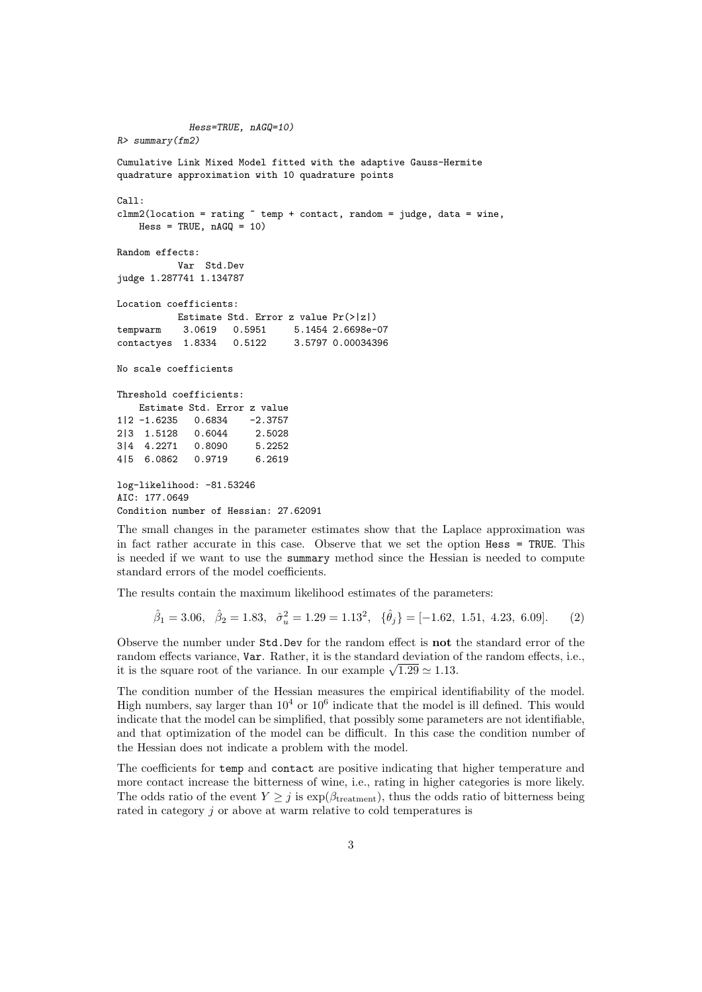```
Hess=TRUE, nAGQ=10)
R> summary(fm2)
Cumulative Link Mixed Model fitted with the adaptive Gauss-Hermite
quadrature approximation with 10 quadrature points
Call:
clmm2(location = rating \tilde{ } temp + contact, random = judge, data = wine,
   Hess = TRUE, nAGQ = 10)Random effects:
          Var Std.Dev
judge 1.287741 1.134787
Location coefficients:
          Estimate Std. Error z value Pr(>|z|)
tempwarm 3.0619 0.5951 5.1454 2.6698e-07
contactyes 1.8334 0.5122 3.5797 0.00034396
No scale coefficients
Threshold coefficients:
   Estimate Std. Error z value
1|2 -1.6235 0.6834 -2.3757
2|3 1.5128 0.6044 2.5028
3|4 4.2271 0.8090 5.2252
4|5 6.0862 0.9719 6.2619
log-likelihood: -81.53246
AIC: 177.0649
Condition number of Hessian: 27.62091
```
The small changes in the parameter estimates show that the Laplace approximation was in fact rather accurate in this case. Observe that we set the option Hess = TRUE. This is needed if we want to use the summary method since the Hessian is needed to compute standard errors of the model coefficients.

The results contain the maximum likelihood estimates of the parameters:

2

βˆ

$$
\hat{\beta}_1 = 3.06, \quad \hat{\beta}_2 = 1.83, \quad \hat{\sigma}_u^2 = 1.29 = 1.13^2, \quad \{\hat{\theta}_j\} = [-1.62, 1.51, 4.23, 6.09].
$$
 (2)

Observe the number under Std.Dev for the random effect is not the standard error of the random effects variance, Var. Rather, it is the standard deviation of the random effects, i.e., it is the square root of the variance. In our example  $\sqrt{1.29} \approx 1.13$ .

The condition number of the Hessian measures the empirical identifiability of the model. High numbers, say larger than  $10^4$  or  $10^6$  indicate that the model is ill defined. This would indicate that the model can be simplified, that possibly some parameters are not identifiable, and that optimization of the model can be difficult. In this case the condition number of the Hessian does not indicate a problem with the model.

The coefficients for temp and contact are positive indicating that higher temperature and more contact increase the bitterness of wine, i.e., rating in higher categories is more likely. The odds ratio of the event  $Y \geq j$  is  $\exp(\beta_{\text{treatment}})$ , thus the odds ratio of bitterness being rated in category j or above at warm relative to cold temperatures is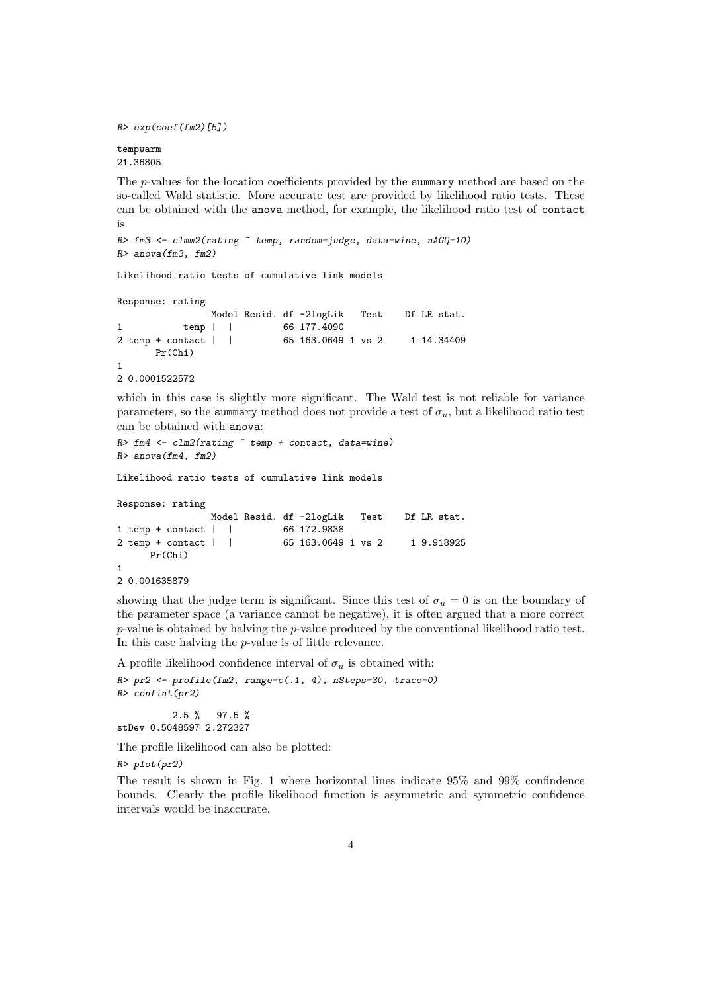*R> exp(coef(fm2)[5])*

tempwarm 21.36805

The p-values for the location coefficients provided by the summary method are based on the so-called Wald statistic. More accurate test are provided by likelihood ratio tests. These can be obtained with the anova method, for example, the likelihood ratio test of contact is

```
R> fm3 <- clmm2(rating ~ temp, random=judge, data=wine, nAGQ=10)
R> anova(fm3, fm2)
```
Likelihood ratio tests of cumulative link models

```
Response: rating
```

```
Model Resid. df -2logLik Test Df LR stat.
1 temp | | 66 177.4090
2 temp + contact | | 65 163.0649 1 vs 2 1 14.34409
     Pr(Chi)
1
2 0.0001522572
```
which in this case is slightly more significant. The Wald test is not reliable for variance parameters, so the summary method does not provide a test of  $\sigma_u$ , but a likelihood ratio test can be obtained with anova:

```
R> fm4 <- clm2(rating ~ temp + contact, data=wine)
R> anova(fm4, fm2)
```
Likelihood ratio tests of cumulative link models

```
Response: rating
              Model Resid. df -2logLik Test Df LR stat.
1 temp + contact | | 66 172.9838
2 temp + contact | | 65 163.0649 1 vs 2 1 9.918925
     Pr(Chi)
1
2 0.001635879
```
showing that the judge term is significant. Since this test of  $\sigma_u = 0$  is on the boundary of the parameter space (a variance cannot be negative), it is often argued that a more correct  $p$ -value is obtained by halving the  $p$ -value produced by the conventional likelihood ratio test. In this case halving the p-value is of little relevance.

A profile likelihood confidence interval of  $\sigma_u$  is obtained with:

```
R> pr2 <- profile(fm2, range=c(.1, 4), nSteps=30, trace=0)
R> confint(pr2)
```
2.5 % 97.5 % stDev 0.5048597 2.272327

The profile likelihood can also be plotted:

*R> plot(pr2)*

The result is shown in Fig. 1 where horizontal lines indicate 95% and 99% confindence bounds. Clearly the profile likelihood function is asymmetric and symmetric confidence intervals would be inaccurate.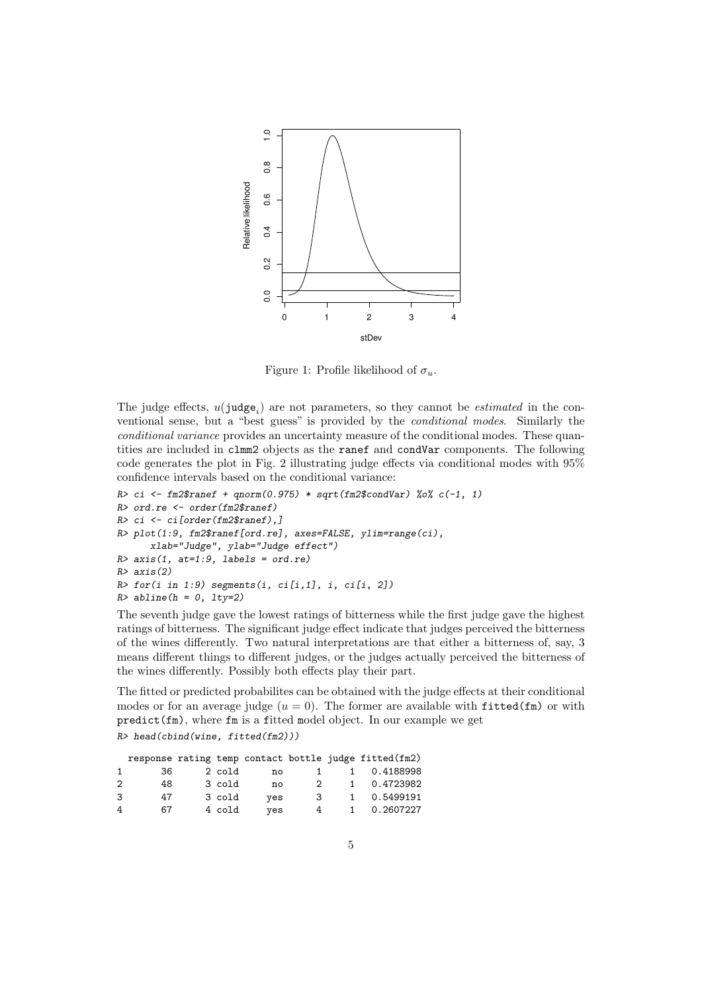

Figure 1: Profile likelihood of  $\sigma_u$ .

The judge effects,  $u(ju \text{dge}_i)$  are not parameters, so they cannot be *estimated* in the conventional sense, but a "best guess" is provided by the conditional modes. Similarly the conditional variance provides an uncertainty measure of the conditional modes. These quantities are included in clmm2 objects as the ranef and condVar components. The following code generates the plot in Fig. 2 illustrating judge effects via conditional modes with 95% confidence intervals based on the conditional variance:

```
R> ci <- fm2$ranef + qnorm(0.975) * sqrt(fm2$condVar) %o% c(-1, 1)
R> ord.re <- order(fm2$ranef)
R> ci <- ci[order(fm2$ranef),]
R> plot(1:9, fm2$ranef[ord.re], axes=FALSE, ylim=range(ci),
      xlab="Judge", ylab="Judge effect")
R> axis(1, at=1:9, labels = ord.re)
R> axis(2)
R> for(i in 1:9) segments(i, ci[i,1], i, ci[i, 2])
R> abline(h = 0, lty=2)
```
The seventh judge gave the lowest ratings of bitterness while the first judge gave the highest ratings of bitterness. The significant judge effect indicate that judges perceived the bitterness of the wines differently. Two natural interpretations are that either a bitterness of, say, 3 means different things to different judges, or the judges actually perceived the bitterness of the wines differently. Possibly both effects play their part.

The fitted or predicted probabilites can be obtained with the judge effects at their conditional modes or for an average judge  $(u = 0)$ . The former are available with fitted(fm) or with  $predict(fm)$ , where  $fm$  is a fitted model object. In our example we get

*R> head(cbind(wine, fitted(fm2)))*

|                |     |        |     |             |              | response rating temp contact bottle judge fitted (fm2) |
|----------------|-----|--------|-----|-------------|--------------|--------------------------------------------------------|
|                | 36. | 2 cold | no  |             | 1            | 0.4188998                                              |
| $\overline{2}$ | 48. | 3 cold | no  | $2^{\circ}$ |              | 1 0.4723982                                            |
| 3              | 47  | 3 cold | ves | 3           | $\mathbf{1}$ | 0.5499191                                              |
| 4              | 67  | 4 cold | ves | 4           | $\mathbf{1}$ | 0.2607227                                              |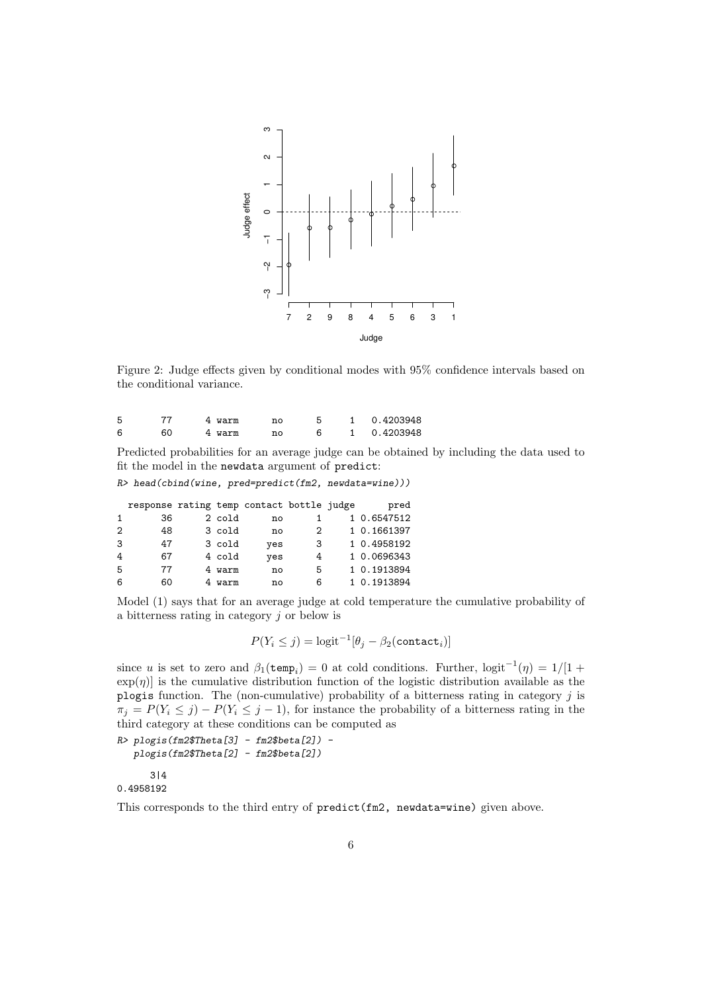

Figure 2: Judge effects given by conditional modes with 95% confidence intervals based on the conditional variance.

|  | 4 warm | n۵ |  | 1 0.4203948 |
|--|--------|----|--|-------------|
|  | 4 warm | n۵ |  | 1 0.4203948 |

Predicted probabilities for an average judge can be obtained by including the data used to fit the model in the newdata argument of predict:

*R> head(cbind(wine, pred=predict(fm2, newdata=wine)))*

|                | response rating temp contact bottle judge |        |     |   | pred        |
|----------------|-------------------------------------------|--------|-----|---|-------------|
|                | 36                                        | 2 cold | no  |   | 1 0.6547512 |
| $\overline{2}$ | 48                                        | 3 cold | no  | 2 | 1 0.1661397 |
| 3              | 47                                        | 3 cold | yes | 3 | 1 0.4958192 |
| 4              | 67                                        | 4 cold | yes | 4 | 1 0.0696343 |
| 5              | 77                                        | 4 warm | no  | 5 | 1 0.1913894 |
| 6              | 60                                        | 4 warm | no  | 6 | 1 0.1913894 |

Model (1) says that for an average judge at cold temperature the cumulative probability of a bitterness rating in category  $j$  or below is

$$
P(Y_i \leq j) = \text{logit}^{-1}[\theta_j - \beta_2(\texttt{contact}_i)]
$$

since u is set to zero and  $\beta_1$ (temp<sub>i</sub>) = 0 at cold conditions. Further,  $\text{logit}^{-1}(\eta) = 1/[1 +$  $\exp(\eta)$  is the cumulative distribution function of the logistic distribution available as the plogis function. The (non-cumulative) probability of a bitterness rating in category  $j$  is  $\pi_j = P(Y_i \leq j) - P(Y_i \leq j-1)$ , for instance the probability of a bitterness rating in the third category at these conditions can be computed as

```
R> plogis(fm2$Theta[3] - fm2$beta[2]) -
   plogis(fm2$Theta[2] - fm2$beta[2])
```
3|4 0.4958192

This corresponds to the third entry of predict(fm2, newdata=wine) given above.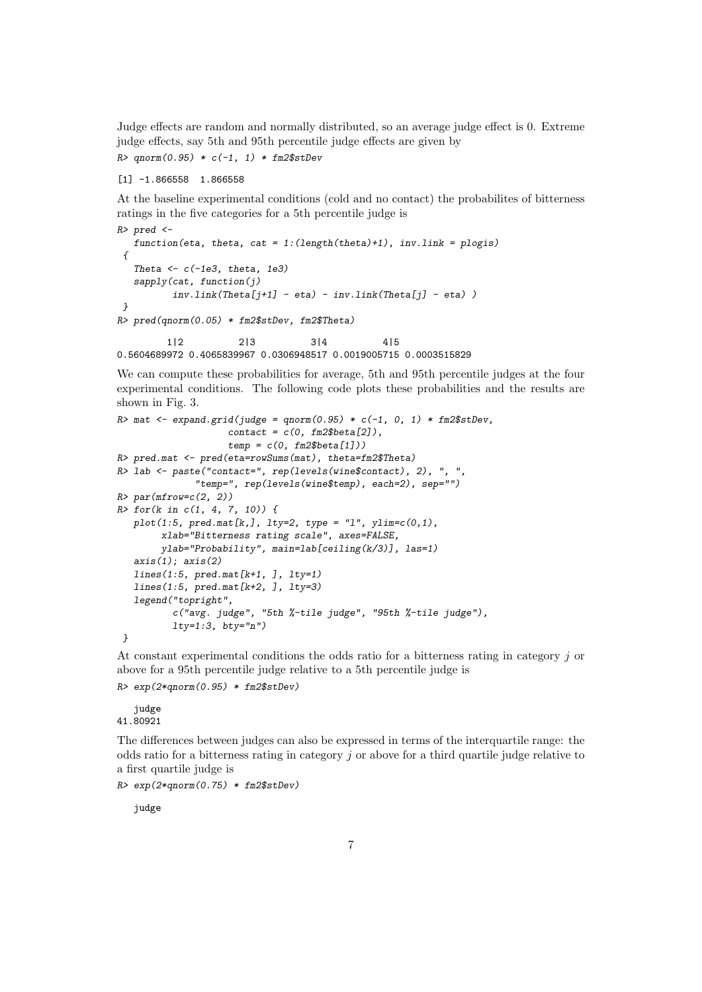Judge effects are random and normally distributed, so an average judge effect is 0. Extreme judge effects, say 5th and 95th percentile judge effects are given by *R> qnorm(0.95) \* c(-1, 1) \* fm2\$stDev*

```
[1] -1.866558 1.866558
```
At the baseline experimental conditions (cold and no contact) the probabilites of bitterness ratings in the five categories for a 5th percentile judge is

```
R> pred <-
   function(eta, theta, cat = 1:(length(theta)+1), inv.link = plogis)
 {
   Theta <- c(-1e3, theta, 1e3)
  sapply(cat, function(j)
          inv.link(Theta[j+1] - eta) - inv.link(Theta[j] - eta) )
}
R> pred(qnorm(0.05) * fm2$stDev, fm2$Theta)
```
1|2 2|3 3|4 4|5 0.5604689972 0.4065839967 0.0306948517 0.0019005715 0.0003515829

We can compute these probabilities for average, 5th and 95th percentile judges at the four experimental conditions. The following code plots these probabilities and the results are shown in Fig. 3.

```
R> mat <- expand.grid(judge = qnorm(0.95) * c(-1, 0, 1) * fm2$stDev,
                    contact = c(0, fm2$beta[2]),
                    temp = c(0, fm2$beta[1]))
R> pred.mat <- pred(eta=rowSums(mat), theta=fm2$Theta)
R> lab <- paste("contact=", rep(levels(wine$contact), 2), ", ",
              "temp=", rep(levels(wine$temp), each=2), sep="")
R> par(mfrow=c(2, 2))
R> for(k in c(1, 4, 7, 10)) {
  plot(1:5, pred.mat[k,], lty=2, type = "l", ylim=c(0,1),
        xlab="Bitterness rating scale", axes=FALSE,
        ylab="Probability", main=lab[ceiling(k/3)], las=1)
   axis(1); axis(2)
   lines(1:5, pred.mat[k+1, ], lty=1)
  lines(1:5, pred.mat[k+2, ], lty=3)
   legend("topright",
          c("avg. judge", "5th %-tile judge", "95th %-tile judge"),
         lty=1:3, bty="n")
}
```
At constant experimental conditions the odds ratio for a bitterness rating in category j or above for a 95th percentile judge relative to a 5th percentile judge is

```
R> exp(2*qnorm(0.95) * fm2$stDev)
```
judge 41.80921

The differences between judges can also be expressed in terms of the interquartile range: the odds ratio for a bitterness rating in category  $j$  or above for a third quartile judge relative to a first quartile judge is

*R> exp(2\*qnorm(0.75) \* fm2\$stDev)*

judge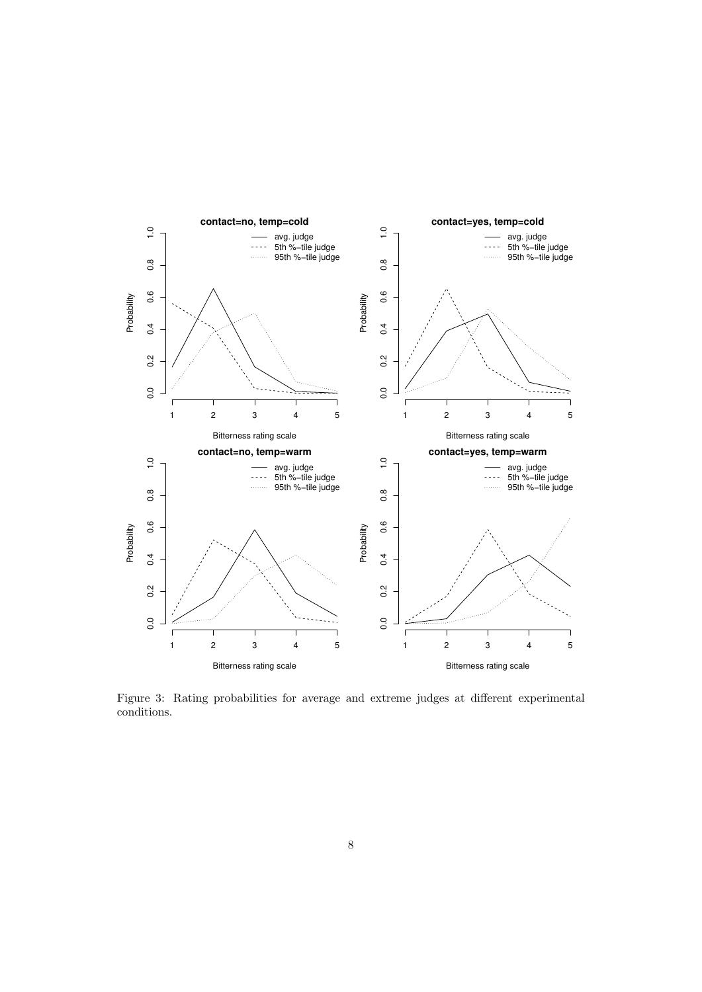

Figure 3: Rating probabilities for average and extreme judges at different experimental conditions.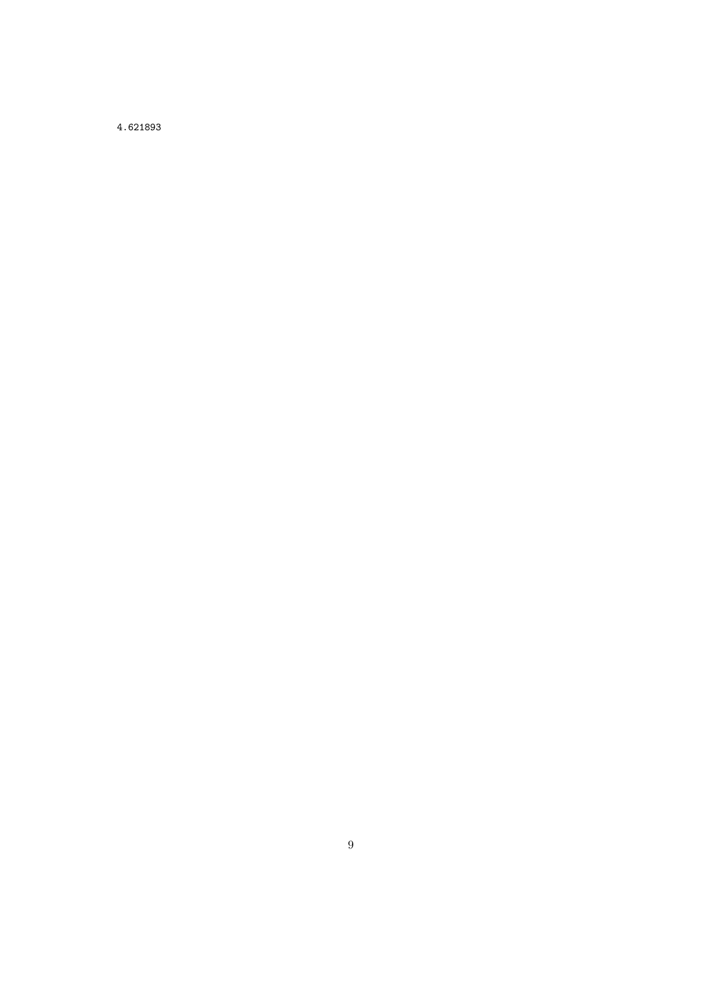4.621893